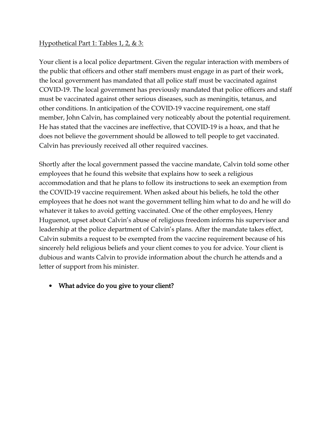## Hypothetical Part 1: Tables 1, 2, & 3:

Your client is a local police department. Given the regular interaction with members of the public that officers and other staff members must engage in as part of their work, the local government has mandated that all police staff must be vaccinated against COVID-19. The local government has previously mandated that police officers and staff must be vaccinated against other serious diseases, such as meningitis, tetanus, and other conditions. In anticipation of the COVID-19 vaccine requirement, one staff member, John Calvin, has complained very noticeably about the potential requirement. He has stated that the vaccines are ineffective, that COVID-19 is a hoax, and that he does not believe the government should be allowed to tell people to get vaccinated. Calvin has previously received all other required vaccines.

Shortly after the local government passed the vaccine mandate, Calvin told some other employees that he found this website that explains how to seek a religious accommodation and that he plans to follow its instructions to seek an exemption from the COVID-19 vaccine requirement. When asked about his beliefs, he told the other employees that he does not want the government telling him what to do and he will do whatever it takes to avoid getting vaccinated. One of the other employees, Henry Huguenot, upset about Calvin's abuse of religious freedom informs his supervisor and leadership at the police department of Calvin's plans. After the mandate takes effect, Calvin submits a request to be exempted from the vaccine requirement because of his sincerely held religious beliefs and your client comes to you for advice. Your client is dubious and wants Calvin to provide information about the church he attends and a letter of support from his minister.

# • What advice do you give to your client?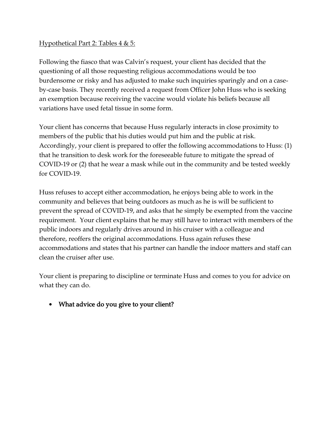## Hypothetical Part 2: Tables 4 & 5:

Following the fiasco that was Calvin's request, your client has decided that the questioning of all those requesting religious accommodations would be too burdensome or risky and has adjusted to make such inquiries sparingly and on a caseby-case basis. They recently received a request from Officer John Huss who is seeking an exemption because receiving the vaccine would violate his beliefs because all variations have used fetal tissue in some form.

Your client has concerns that because Huss regularly interacts in close proximity to members of the public that his duties would put him and the public at risk. Accordingly, your client is prepared to offer the following accommodations to Huss: (1) that he transition to desk work for the foreseeable future to mitigate the spread of COVID-19 or (2) that he wear a mask while out in the community and be tested weekly for COVID-19.

Huss refuses to accept either accommodation, he enjoys being able to work in the community and believes that being outdoors as much as he is will be sufficient to prevent the spread of COVID-19, and asks that he simply be exempted from the vaccine requirement. Your client explains that he may still have to interact with members of the public indoors and regularly drives around in his cruiser with a colleague and therefore, reoffers the original accommodations. Huss again refuses these accommodations and states that his partner can handle the indoor matters and staff can clean the cruiser after use.

Your client is preparing to discipline or terminate Huss and comes to you for advice on what they can do.

• What advice do you give to your client?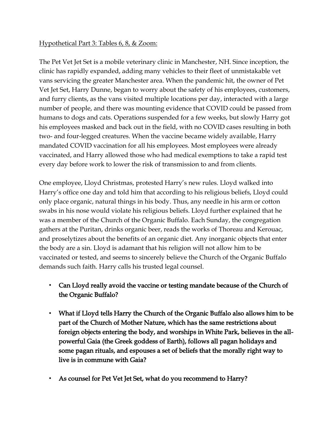### Hypothetical Part 3: Tables 6, 8, & Zoom:

The Pet Vet Jet Set is a mobile veterinary clinic in Manchester, NH. Since inception, the clinic has rapidly expanded, adding many vehicles to their fleet of unmistakable vet vans servicing the greater Manchester area. When the pandemic hit, the owner of Pet Vet Jet Set, Harry Dunne, began to worry about the safety of his employees, customers, and furry clients, as the vans visited multiple locations per day, interacted with a large number of people, and there was mounting evidence that COVID could be passed from humans to dogs and cats. Operations suspended for a few weeks, but slowly Harry got his employees masked and back out in the field, with no COVID cases resulting in both two- and four-legged creatures. When the vaccine became widely available, Harry mandated COVID vaccination for all his employees. Most employees were already vaccinated, and Harry allowed those who had medical exemptions to take a rapid test every day before work to lower the risk of transmission to and from clients.

One employee, Lloyd Christmas, protested Harry's new rules. Lloyd walked into Harry's office one day and told him that according to his religious beliefs, Lloyd could only place organic, natural things in his body. Thus, any needle in his arm or cotton swabs in his nose would violate his religious beliefs. Lloyd further explained that he was a member of the Church of the Organic Buffalo. Each Sunday, the congregation gathers at the Puritan, drinks organic beer, reads the works of Thoreau and Kerouac, and proselytizes about the benefits of an organic diet. Any inorganic objects that enter the body are a sin. Lloyd is adamant that his religion will not allow him to be vaccinated or tested, and seems to sincerely believe the Church of the Organic Buffalo demands such faith. Harry calls his trusted legal counsel.

- Can Lloyd really avoid the vaccine or testing mandate because of the Church of the Organic Buffalo?
- What if Lloyd tells Harry the Church of the Organic Buffalo also allows him to be part of the Church of Mother Nature, which has the same restrictions about foreign objects entering the body, and worships in White Park, believes in the allpowerful Gaia (the Greek goddess of Earth), follows all pagan holidays and some pagan rituals, and espouses a set of beliefs that the morally right way to live is in commune with Gaia?
- As counsel for Pet Vet Jet Set, what do you recommend to Harry?